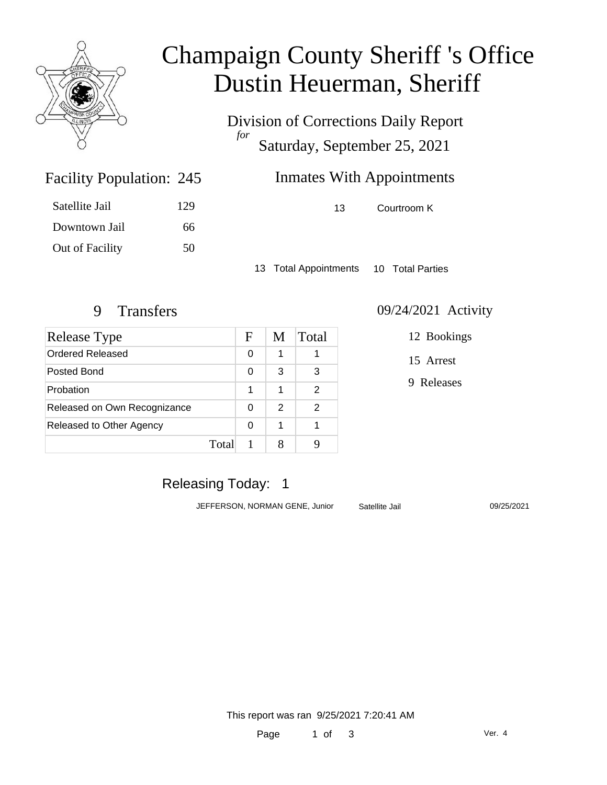

# Champaign County Sheriff 's Office Dustin Heuerman, Sheriff

Division of Corrections Daily Report *for* Saturday, September 25, 2021

# Inmates With Appointments

13 Courtroom K

Satellite Jail 129 Downtown Jail 66 Out of Facility 50

Facility Population: 245

13 Total Appointments 10 Total Parties

| Release Type                 | F     | M | Total |
|------------------------------|-------|---|-------|
| Ordered Released             | 0     | 1 |       |
| Posted Bond                  | 0     | 3 | 3     |
| Probation                    | 1     | 1 | 2     |
| Released on Own Recognizance | 0     | 2 | 2     |
| Released to Other Agency     | 0     | 1 |       |
|                              | Total |   |       |

#### 9 Transfers 09/24/2021 Activity

12 Bookings

15 Arrest

9 Releases

## Releasing Today: 1

JEFFERSON, NORMAN GENE, Junior Satellite Jail 09/25/2021

This report was ran 9/25/2021 7:20:41 AM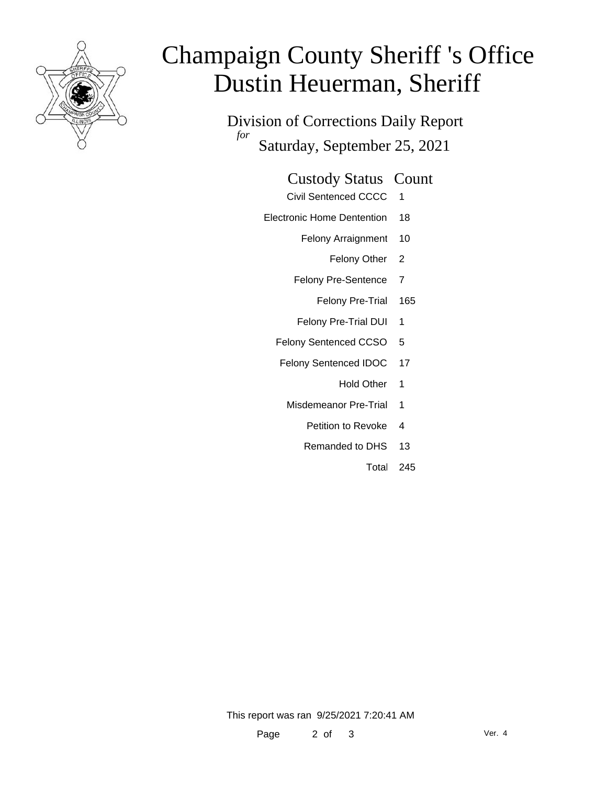

# Champaign County Sheriff 's Office Dustin Heuerman, Sheriff

Division of Corrections Daily Report *for* Saturday, September 25, 2021

#### Custody Status Count

- Civil Sentenced CCCC 1
- Electronic Home Dentention 18
	- Felony Arraignment 10
		- Felony Other 2
	- Felony Pre-Sentence 7
		- Felony Pre-Trial 165
	- Felony Pre-Trial DUI 1
	- Felony Sentenced CCSO 5
	- Felony Sentenced IDOC 17
		- Hold Other 1
		- Misdemeanor Pre-Trial 1
			- Petition to Revoke 4
			- Remanded to DHS 13
				- Total 245

This report was ran 9/25/2021 7:20:41 AM